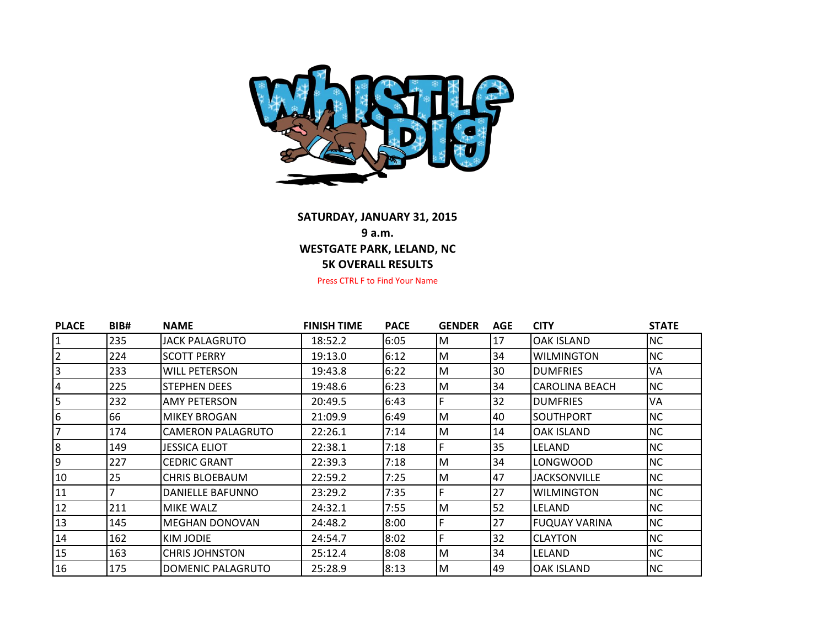

## **SATURDAY, JANUARY 31, 2015 9 a.m. 5K OVERALL RESULTS WESTGATE PARK, LELAND, NC**

Press CTRL F to Find Your Name

| <b>PLACE</b>   | BIB# | <b>NAME</b>             | <b>FINISH TIME</b> | <b>PACE</b> | <b>GENDER</b> | <b>AGE</b> | <b>CITY</b>             | <b>STATE</b> |
|----------------|------|-------------------------|--------------------|-------------|---------------|------------|-------------------------|--------------|
|                | 235  | <b>JACK PALAGRUTO</b>   | 18:52.2            | 6:05        | M             | 17         | OAK ISLAND              | <b>NC</b>    |
| $\overline{2}$ | 224  | <b>SCOTT PERRY</b>      | 19:13.0            | 6:12        | M             | 34         | <b>WILMINGTON</b>       | NC.          |
| 3              | 233  | <b>WILL PETERSON</b>    | 19:43.8            | 6:22        | M             | 30         | <b>DUMFRIES</b>         | VA           |
| 4              | 225  | <b>STEPHEN DEES</b>     | 19:48.6            | 6:23        | M             | 34         | <b>I</b> CAROLINA BEACH | <b>NC</b>    |
| 5              | 232  | <b>AMY PETERSON</b>     | 20:49.5            | 6:43        | F.            | 32         | <b>DUMFRIES</b>         | VA           |
| 6              | 66   | <b>MIKEY BROGAN</b>     | 21:09.9            | 6:49        | M             | 40         | <b>ISOUTHPORT</b>       | <b>NC</b>    |
| 7              | 174  | CAMERON PALAGRUTO       | 22:26.1            | 7:14        | M             | 14         | <b>OAK ISLAND</b>       | <b>NC</b>    |
| 8              | 149  | <b>JESSICA ELIOT</b>    | 22:38.1            | 7:18        | F             | 35         | LELAND                  | <b>NC</b>    |
| 9              | 227  | <b>CEDRIC GRANT</b>     | 22:39.3            | 7:18        | M             | 34         | LONGWOOD                | <b>NC</b>    |
| 10             | 25   | <b>CHRIS BLOEBAUM</b>   | 22:59.2            | 7:25        | M             | 47         | <b>JACKSONVILLE</b>     | <b>NC</b>    |
| 11             |      | <b>DANIELLE BAFUNNO</b> | 23:29.2            | 7:35        | F             | 27         | <b>WILMINGTON</b>       | <b>NC</b>    |
| 12             | 211  | MIKE WALZ               | 24:32.1            | 7:55        | M             | 52         | <b>LELAND</b>           | <b>NC</b>    |
| 13             | 145  | <b>MEGHAN DONOVAN</b>   | 24:48.2            | 8:00        | F             | 27         | IFUQUAY VARINA          | <b>NC</b>    |
| 14             | 162  | KIM JODIE               | 24:54.7            | 8:02        | F             | 32         | <b>CLAYTON</b>          | <b>NC</b>    |
| 15             | 163  | <b>CHRIS JOHNSTON</b>   | 25:12.4            | 8:08        | M             | 34         | LELAND                  | <b>NC</b>    |
| 16             | 175  | DOMENIC PALAGRUTO       | 25:28.9            | 8:13        | M             | 49         | <b>OAK ISLAND</b>       | <b>NC</b>    |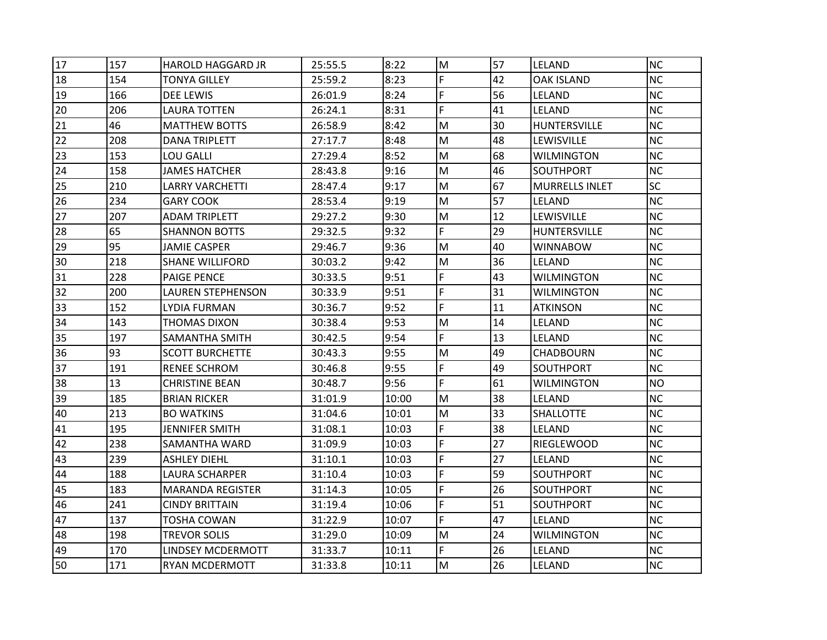| 17 | 157 | <b>HAROLD HAGGARD JR</b> | 25:55.5 | 8:22  | M                                                                                                          | 57 | <b>LELAND</b>         | <b>NC</b> |
|----|-----|--------------------------|---------|-------|------------------------------------------------------------------------------------------------------------|----|-----------------------|-----------|
| 18 | 154 | TONYA GILLEY             | 25:59.2 | 8:23  | F                                                                                                          | 42 | <b>OAK ISLAND</b>     | <b>NC</b> |
| 19 | 166 | <b>DEE LEWIS</b>         | 26:01.9 | 8:24  | F                                                                                                          | 56 | LELAND                | <b>NC</b> |
| 20 | 206 | <b>LAURA TOTTEN</b>      | 26:24.1 | 8:31  | F                                                                                                          | 41 | <b>LELAND</b>         | <b>NC</b> |
| 21 | 46  | <b>MATTHEW BOTTS</b>     | 26:58.9 | 8:42  | M                                                                                                          | 30 | <b>HUNTERSVILLE</b>   | <b>NC</b> |
| 22 | 208 | <b>DANA TRIPLETT</b>     | 27:17.7 | 8:48  | M                                                                                                          | 48 | <b>LEWISVILLE</b>     | NC        |
| 23 | 153 | <b>LOU GALLI</b>         | 27:29.4 | 8:52  | M                                                                                                          | 68 | <b>WILMINGTON</b>     | <b>NC</b> |
| 24 | 158 | <b>JAMES HATCHER</b>     | 28:43.8 | 9:16  | M                                                                                                          | 46 | SOUTHPORT             | NC        |
| 25 | 210 | LARRY VARCHETTI          | 28:47.4 | 9:17  | M                                                                                                          | 67 | <b>MURRELLS INLET</b> | <b>SC</b> |
| 26 | 234 | <b>GARY COOK</b>         | 28:53.4 | 9:19  | M                                                                                                          | 57 | LELAND                | Inc.      |
| 27 | 207 | <b>ADAM TRIPLETT</b>     | 29:27.2 | 9:30  | M                                                                                                          | 12 | <b>LEWISVILLE</b>     | INC.      |
| 28 | 65  | <b>SHANNON BOTTS</b>     | 29:32.5 | 9:32  | F.                                                                                                         | 29 | HUNTERSVILLE          | NC.       |
| 29 | 95  | <b>JAMIE CASPER</b>      | 29:46.7 | 9:36  | M                                                                                                          | 40 | <b>WINNABOW</b>       | <b>NC</b> |
| 30 | 218 | <b>SHANE WILLIFORD</b>   | 30:03.2 | 9:42  | $\mathsf{M}% _{T}=\mathsf{M}_{T}\!\left( a,b\right) ,\ \mathsf{M}_{T}=\mathsf{M}_{T}\!\left( a,b\right) ,$ | 36 | LELAND                | NC.       |
| 31 | 228 | <b>PAIGE PENCE</b>       | 30:33.5 | 9:51  | F                                                                                                          | 43 | <b>WILMINGTON</b>     | NC        |
| 32 | 200 | <b>LAUREN STEPHENSON</b> | 30:33.9 | 9:51  | F.                                                                                                         | 31 | <b>WILMINGTON</b>     | <b>NC</b> |
| 33 | 152 | LYDIA FURMAN             | 30:36.7 | 9:52  | F.                                                                                                         | 11 | <b>ATKINSON</b>       | <b>NC</b> |
| 34 | 143 | <b>THOMAS DIXON</b>      | 30:38.4 | 9:53  | M                                                                                                          | 14 | <b>LELAND</b>         | Inc.      |
| 35 | 197 | SAMANTHA SMITH           | 30:42.5 | 9:54  | F.                                                                                                         | 13 | LELAND                | <b>NC</b> |
| 36 | 93  | <b>SCOTT BURCHETTE</b>   | 30:43.3 | 9:55  | M                                                                                                          | 49 | <b>CHADBOURN</b>      | <b>NC</b> |
| 37 | 191 | <b>RENEE SCHROM</b>      | 30:46.8 | 9:55  | F                                                                                                          | 49 | <b>SOUTHPORT</b>      | <b>NC</b> |
| 38 | 13  | <b>CHRISTINE BEAN</b>    | 30:48.7 | 9:56  | F                                                                                                          | 61 | <b>WILMINGTON</b>     | NO.       |
| 39 | 185 | BRIAN RICKER             | 31:01.9 | 10:00 | M                                                                                                          | 38 | LELAND                | <b>NC</b> |
| 40 | 213 | <b>BO WATKINS</b>        | 31:04.6 | 10:01 | M                                                                                                          | 33 | <b>SHALLOTTE</b>      | Inc.      |
| 41 | 195 | <b>JENNIFER SMITH</b>    | 31:08.1 | 10:03 | F                                                                                                          | 38 | LELAND                | <b>NC</b> |
| 42 | 238 | SAMANTHA WARD            | 31:09.9 | 10:03 | F                                                                                                          | 27 | RIEGLEWOOD            | <b>NC</b> |
| 43 | 239 | <b>ASHLEY DIEHL</b>      | 31:10.1 | 10:03 | F.                                                                                                         | 27 | LELAND                | <b>NC</b> |
| 44 | 188 | LAURA SCHARPER           | 31:10.4 | 10:03 | F                                                                                                          | 59 | <b>SOUTHPORT</b>      | <b>NC</b> |
| 45 | 183 | <b>MARANDA REGISTER</b>  | 31:14.3 | 10:05 | F                                                                                                          | 26 | <b>SOUTHPORT</b>      | NC        |
| 46 | 241 | CINDY BRITTAIN           | 31:19.4 | 10:06 | F                                                                                                          | 51 | <b>SOUTHPORT</b>      | <b>NC</b> |
| 47 | 137 | <b>TOSHA COWAN</b>       | 31:22.9 | 10:07 | F.                                                                                                         | 47 | <b>LELAND</b>         | <b>NC</b> |
| 48 | 198 | <b>TREVOR SOLIS</b>      | 31:29.0 | 10:09 | M                                                                                                          | 24 | <b>WILMINGTON</b>     | INC.      |
| 49 | 170 | LINDSEY MCDERMOTT        | 31:33.7 | 10:11 | F.                                                                                                         | 26 | LELAND                | NC.       |
| 50 | 171 | <b>RYAN MCDERMOTT</b>    | 31:33.8 | 10:11 | M                                                                                                          | 26 | <b>LELAND</b>         | INC.      |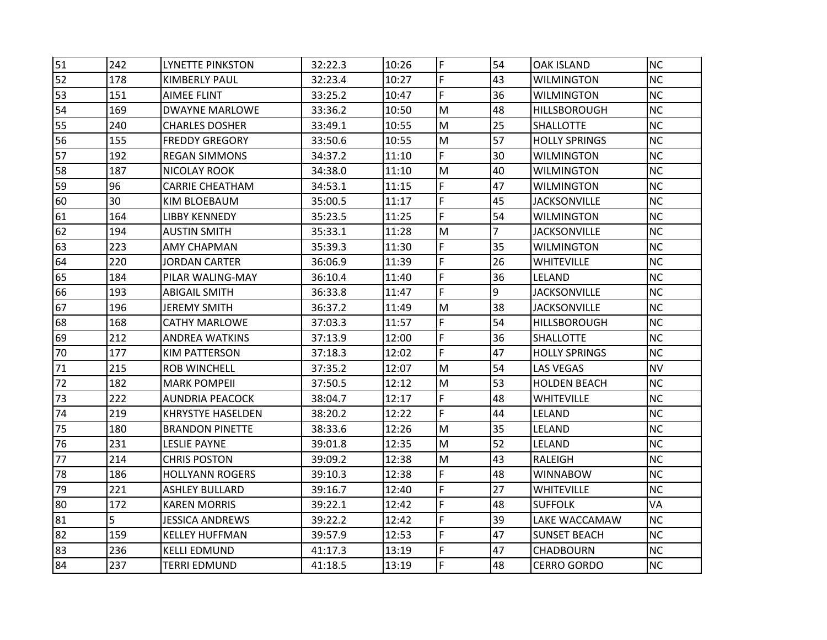| 51 | 242 | <b>LYNETTE PINKSTON</b>  | 32:22.3 | 10:26 | F                                                                                                          | 54 | <b>OAK ISLAND</b>    | <b>NC</b> |
|----|-----|--------------------------|---------|-------|------------------------------------------------------------------------------------------------------------|----|----------------------|-----------|
| 52 | 178 | KIMBERLY PAUL            | 32:23.4 | 10:27 | F                                                                                                          | 43 | WILMINGTON           | <b>NC</b> |
| 53 | 151 | <b>AIMEE FLINT</b>       | 33:25.2 | 10:47 | F.                                                                                                         | 36 | <b>WILMINGTON</b>    | <b>NC</b> |
| 54 | 169 | DWAYNE MARLOWE           | 33:36.2 | 10:50 | M                                                                                                          | 48 | <b>HILLSBOROUGH</b>  | <b>NC</b> |
| 55 | 240 | CHARLES DOSHER           | 33:49.1 | 10:55 | M                                                                                                          | 25 | <b>SHALLOTTE</b>     | <b>NC</b> |
| 56 | 155 | FREDDY GREGORY           | 33:50.6 | 10:55 | M                                                                                                          | 57 | <b>HOLLY SPRINGS</b> | <b>NC</b> |
| 57 | 192 | REGAN SIMMONS            | 34:37.2 | 11:10 | F.                                                                                                         | 30 | <b>WILMINGTON</b>    | <b>NC</b> |
| 58 | 187 | NICOLAY ROOK             | 34:38.0 | 11:10 | $\mathsf{M}% _{T}=\mathsf{M}_{T}\!\left( a,b\right) ,\ \mathsf{M}_{T}=\mathsf{M}_{T}\!\left( a,b\right) ,$ | 40 | <b>WILMINGTON</b>    | <b>NC</b> |
| 59 | 96  | CARRIE CHEATHAM          | 34:53.1 | 11:15 | F.                                                                                                         | 47 | WILMINGTON           | <b>NC</b> |
| 60 | 30  | KIM BLOEBAUM             | 35:00.5 | 11:17 | F.                                                                                                         | 45 | <b>JACKSONVILLE</b>  | <b>NC</b> |
| 61 | 164 | LIBBY KENNEDY            | 35:23.5 | 11:25 | F                                                                                                          | 54 | <b>WILMINGTON</b>    | <b>NC</b> |
| 62 | 194 | <b>AUSTIN SMITH</b>      | 35:33.1 | 11:28 | M                                                                                                          | 7  | <b>JACKSONVILLE</b>  | <b>NC</b> |
| 63 | 223 | <b>AMY CHAPMAN</b>       | 35:39.3 | 11:30 | F.                                                                                                         | 35 | <b>WILMINGTON</b>    | <b>NC</b> |
| 64 | 220 | <b>JORDAN CARTER</b>     | 36:06.9 | 11:39 | F.                                                                                                         | 26 | <b>WHITEVILLE</b>    | <b>NC</b> |
| 65 | 184 | PILAR WALING-MAY         | 36:10.4 | 11:40 | F                                                                                                          | 36 | LELAND               | <b>NC</b> |
| 66 | 193 | <b>ABIGAIL SMITH</b>     | 36:33.8 | 11:47 | F                                                                                                          | 9  | <b>JACKSONVILLE</b>  | <b>NC</b> |
| 67 | 196 | JEREMY SMITH             | 36:37.2 | 11:49 | M                                                                                                          | 38 | <b>JACKSONVILLE</b>  | <b>NC</b> |
| 68 | 168 | CATHY MARLOWE            | 37:03.3 | 11:57 | F                                                                                                          | 54 | <b>HILLSBOROUGH</b>  | <b>NC</b> |
| 69 | 212 | ANDREA WATKINS           | 37:13.9 | 12:00 | F.                                                                                                         | 36 | <b>SHALLOTTE</b>     | <b>NC</b> |
| 70 | 177 | <b>KIM PATTERSON</b>     | 37:18.3 | 12:02 | F.                                                                                                         | 47 | <b>HOLLY SPRINGS</b> | <b>NC</b> |
| 71 | 215 | <b>ROB WINCHELL</b>      | 37:35.2 | 12:07 | M                                                                                                          | 54 | <b>LAS VEGAS</b>     | <b>NV</b> |
| 72 | 182 | MARK POMPEII             | 37:50.5 | 12:12 | M                                                                                                          | 53 | <b>HOLDEN BEACH</b>  | <b>NC</b> |
| 73 | 222 | <b>AUNDRIA PEACOCK</b>   | 38:04.7 | 12:17 | F                                                                                                          | 48 | <b>WHITEVILLE</b>    | <b>NC</b> |
| 74 | 219 | <b>KHRYSTYE HASELDEN</b> | 38:20.2 | 12:22 | F.                                                                                                         | 44 | LELAND               | <b>NC</b> |
| 75 | 180 | <b>BRANDON PINETTE</b>   | 38:33.6 | 12:26 | M                                                                                                          | 35 | LELAND               | <b>NC</b> |
| 76 | 231 | <b>LESLIE PAYNE</b>      | 39:01.8 | 12:35 | M                                                                                                          | 52 | LELAND               | <b>NC</b> |
| 77 | 214 | CHRIS POSTON             | 39:09.2 | 12:38 | M                                                                                                          | 43 | <b>RALEIGH</b>       | <b>NC</b> |
| 78 | 186 | HOLLYANN ROGERS          | 39:10.3 | 12:38 | F                                                                                                          | 48 | <b>WINNABOW</b>      | <b>NC</b> |
| 79 | 221 | ASHLEY BULLARD           | 39:16.7 | 12:40 | F                                                                                                          | 27 | <b>WHITEVILLE</b>    | <b>NC</b> |
| 80 | 172 | KAREN MORRIS             | 39:22.1 | 12:42 | F                                                                                                          | 48 | <b>SUFFOLK</b>       | VA        |
| 81 | 5   | <b>JESSICA ANDREWS</b>   | 39:22.2 | 12:42 | F                                                                                                          | 39 | LAKE WACCAMAW        | <b>NC</b> |
| 82 | 159 | KELLEY HUFFMAN           | 39:57.9 | 12:53 | F.                                                                                                         | 47 | SUNSET BEACH         | <b>NC</b> |
| 83 | 236 | <b>KELLI EDMUND</b>      | 41:17.3 | 13:19 | F                                                                                                          | 47 | <b>CHADBOURN</b>     | <b>NC</b> |
| 84 | 237 | <b>TERRI EDMUND</b>      | 41:18.5 | 13:19 | F                                                                                                          | 48 | <b>CERRO GORDO</b>   | <b>NC</b> |